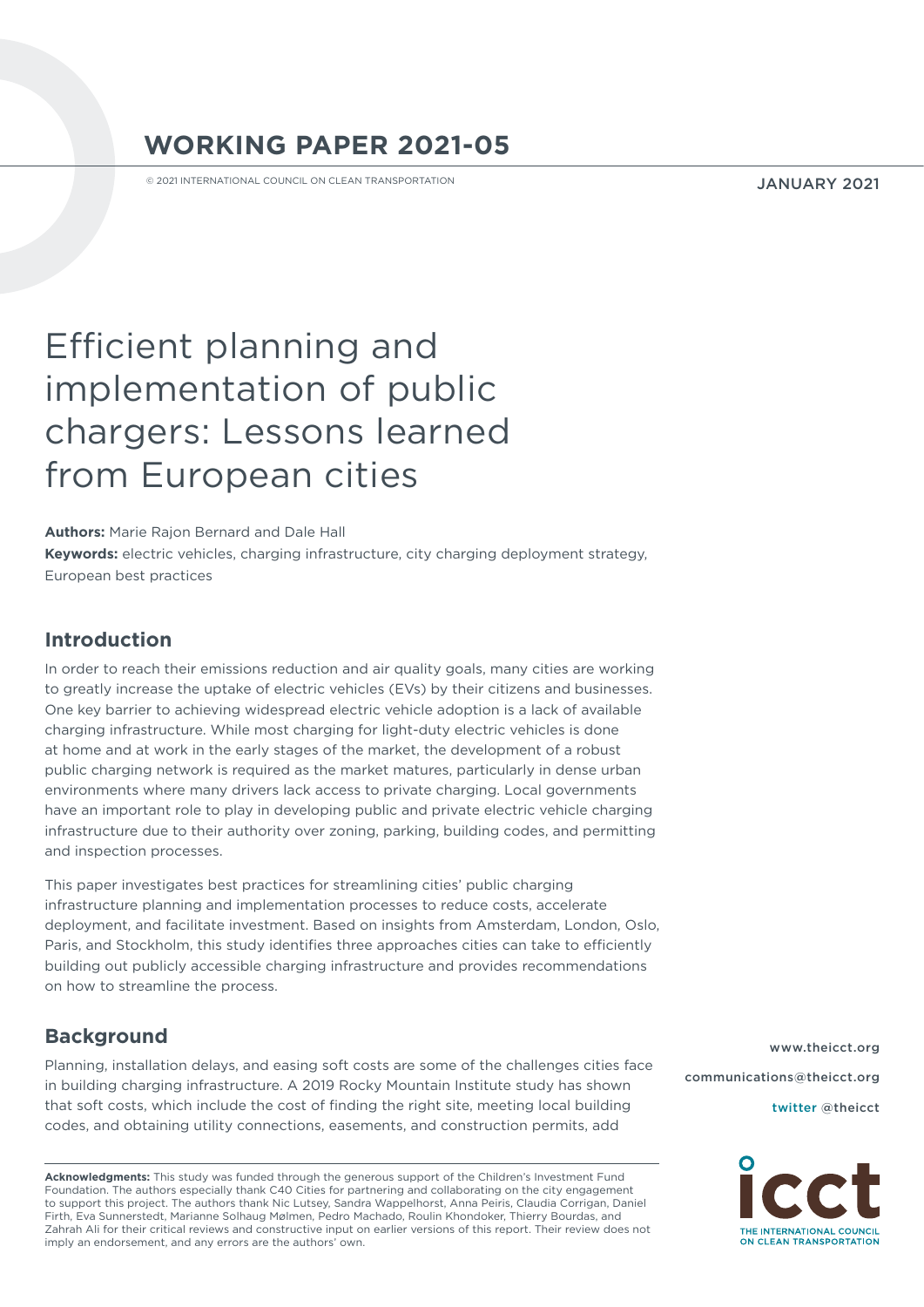# **WORKING PAPER 2021-05**

© 2021 INTERNATIONAL COUNCIL ON CLEAN TRANSPORTATION

JANUARY 2021

# Efficient planning and implementation of public chargers: Lessons learned from European cities

**Authors:** Marie Rajon Bernard and Dale Hall **Keywords:** electric vehicles, charging infrastructure, city charging deployment strategy, European best practices

# **Introduction**

In order to reach their emissions reduction and air quality goals, many cities are working to greatly increase the uptake of electric vehicles (EVs) by their citizens and businesses. One key barrier to achieving widespread electric vehicle adoption is a lack of available charging infrastructure. While most charging for light-duty electric vehicles is done at home and at work in the early stages of the market, the development of a robust public charging network is required as the market matures, particularly in dense urban environments where many drivers lack access to private charging. Local governments have an important role to play in developing public and private electric vehicle charging infrastructure due to their authority over zoning, parking, building codes, and permitting and inspection processes.

This paper investigates best practices for streamlining cities' public charging infrastructure planning and implementation processes to reduce costs, accelerate deployment, and facilitate investment. Based on insights from Amsterdam, London, Oslo, Paris, and Stockholm, this study identifies three approaches cities can take to efficiently building out publicly accessible charging infrastructure and provides recommendations on how to streamline the process.

# **Background**

Planning, installation delays, and easing soft costs are some of the challenges cities face in building charging infrastructure. A 2019 Rocky Mountain Institute study has shown that soft costs, which include the cost of finding the right site, meeting local building codes, and obtaining utility connections, easements, and construction permits, add

**Acknowledgments:** This study was funded through the generous support of the Children's Investment Fund Foundation. The authors especially thank C40 Cities for partnering and collaborating on the city engagement to support this project. The authors thank Nic Lutsey, Sandra Wappelhorst, Anna Peiris, Claudia Corrigan, Daniel Firth, Eva Sunnerstedt, Marianne Solhaug Mølmen, Pedro Machado, Roulin Khondoker, Thierry Bourdas, and Zahrah Ali for their critical reviews and constructive input on earlier versions of this report. Their review does not imply an endorsement, and any errors are the authors' own.

[www.theicct.org](http://www.theicct.org) [communications@theicct.org](mailto:communications%40theicct.org%20%20%20%20?subject=) 

[twitter @theicct](http://twitter.com/theicct)

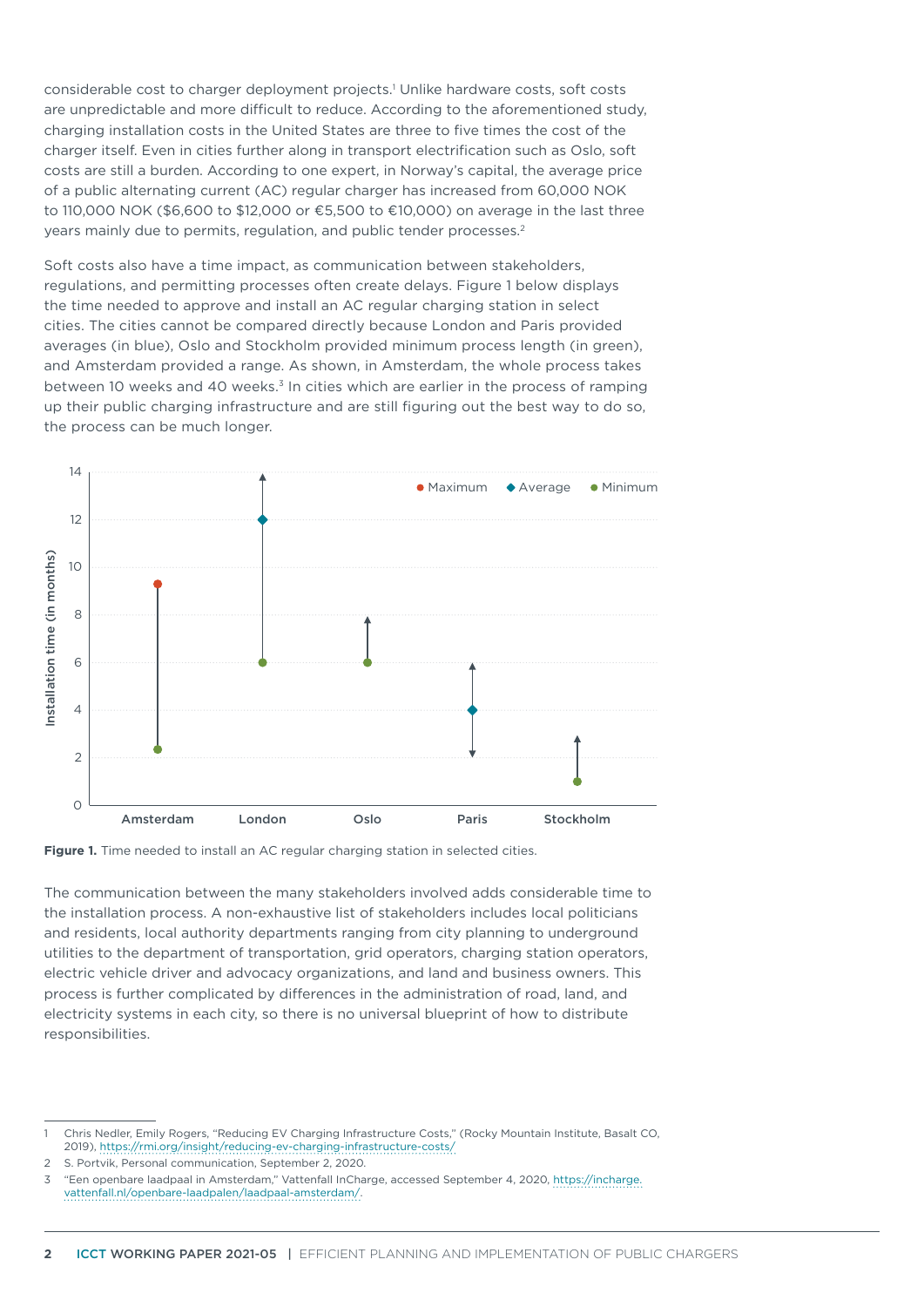considerable cost to charger deployment projects.<sup>1</sup> Unlike hardware costs, soft costs are unpredictable and more difficult to reduce. According to the aforementioned study, charging installation costs in the United States are three to five times the cost of the charger itself. Even in cities further along in transport electrification such as Oslo, soft costs are still a burden. According to one expert, in Norway's capital, the average price of a public alternating current (AC) regular charger has increased from 60,000 NOK to 110,000 NOK (\$6,600 to \$12,000 or €5,500 to €10,000) on average in the last three years mainly due to permits, regulation, and public tender processes.<sup>2</sup>

Soft costs also have a time impact, as communication between stakeholders, regulations, and permitting processes often create delays. Figure 1 below displays the time needed to approve and install an AC regular charging station in select cities. The cities cannot be compared directly because London and Paris provided averages (in blue), Oslo and Stockholm provided minimum process length (in green), and Amsterdam provided a range. As shown, in Amsterdam, the whole process takes between 10 weeks and 40 weeks.<sup>3</sup> In cities which are earlier in the process of ramping up their public charging infrastructure and are still figuring out the best way to do so, the process can be much longer.





The communication between the many stakeholders involved adds considerable time to the installation process. A non-exhaustive list of stakeholders includes local politicians and residents, local authority departments ranging from city planning to underground utilities to the department of transportation, grid operators, charging station operators, electric vehicle driver and advocacy organizations, and land and business owners. This process is further complicated by differences in the administration of road, land, and electricity systems in each city, so there is no universal blueprint of how to distribute responsibilities.

5. Portvik, Personal communication, September 2, 2020.

<sup>1</sup> Chris Nedler, Emily Rogers, "Reducing EV Charging Infrastructure Costs," (Rocky Mountain Institute, Basalt CO, 2019),<https://rmi.org/insight/reducing-ev-charging-infrastructure-costs/>

<sup>3</sup> "Een openbare laadpaal in Amsterdam," Vattenfall InCharge, accessed September 4, 2020, [https://incharge.](https://incharge.vattenfall.nl/openbare-laadpalen/laadpaal-amsterdam/) [vattenfall.nl/openbare-laadpalen/laadpaal-amsterdam/](https://incharge.vattenfall.nl/openbare-laadpalen/laadpaal-amsterdam/).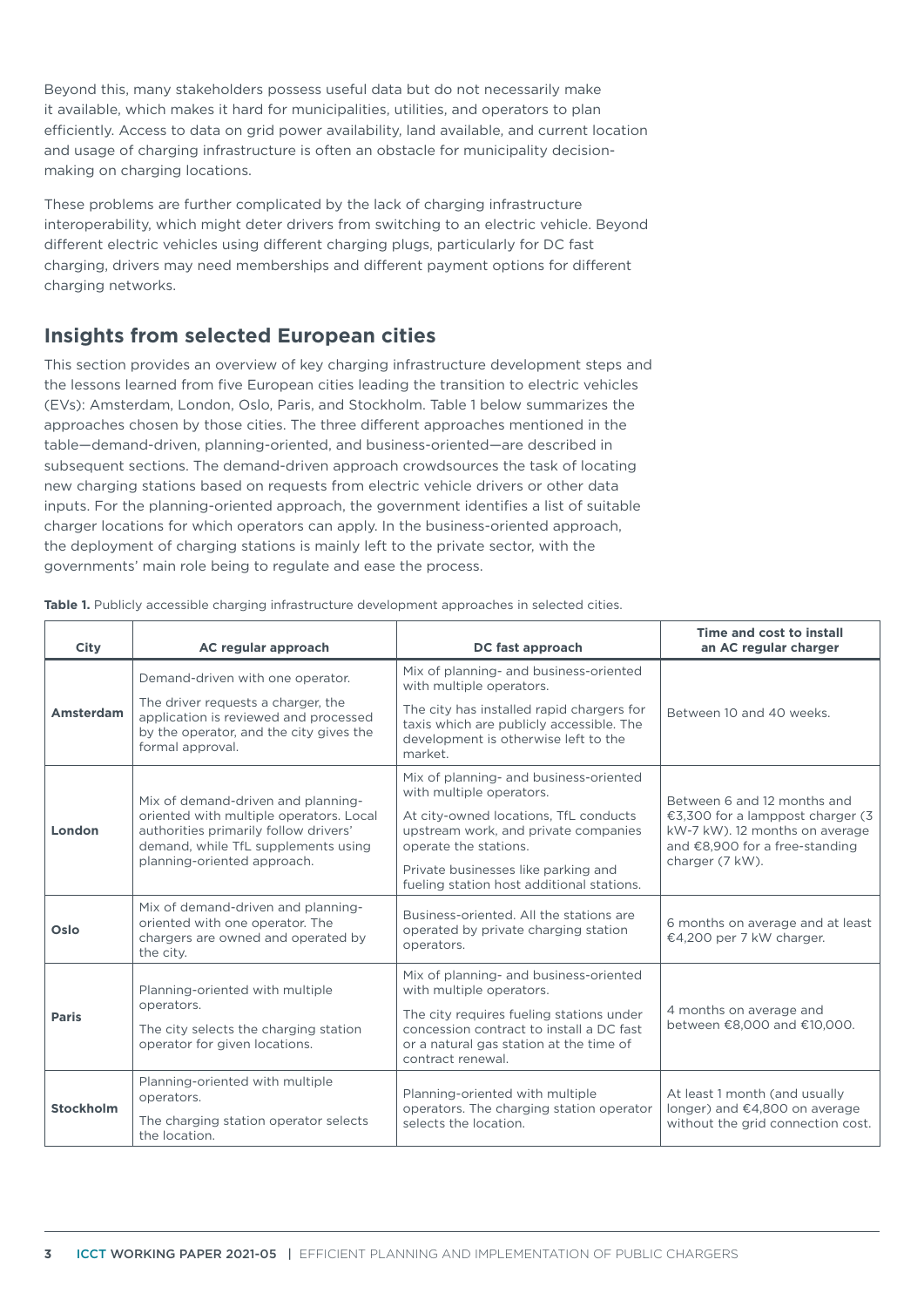Beyond this, many stakeholders possess useful data but do not necessarily make it available, which makes it hard for municipalities, utilities, and operators to plan efficiently. Access to data on grid power availability, land available, and current location and usage of charging infrastructure is often an obstacle for municipality decisionmaking on charging locations.

These problems are further complicated by the lack of charging infrastructure interoperability, which might deter drivers from switching to an electric vehicle. Beyond different electric vehicles using different charging plugs, particularly for DC fast charging, drivers may need memberships and different payment options for different charging networks.

# **Insights from selected European cities**

This section provides an overview of key charging infrastructure development steps and the lessons learned from five European cities leading the transition to electric vehicles (EVs): Amsterdam, London, Oslo, Paris, and Stockholm. [Table](#page-2-0) 1 below summarizes the approaches chosen by those cities. The three different approaches mentioned in the table—demand-driven, planning-oriented, and business-oriented—are described in subsequent sections. The demand-driven approach crowdsources the task of locating new charging stations based on requests from electric vehicle drivers or other data inputs. For the planning-oriented approach, the government identifies a list of suitable charger locations for which operators can apply. In the business-oriented approach, the deployment of charging stations is mainly left to the private sector, with the governments' main role being to regulate and ease the process.

| City             | AC regular approach                                                                                                                        | DC fast approach                                                                                                                                     | Time and cost to install<br>an AC regular charger                                                                                                      |  |
|------------------|--------------------------------------------------------------------------------------------------------------------------------------------|------------------------------------------------------------------------------------------------------------------------------------------------------|--------------------------------------------------------------------------------------------------------------------------------------------------------|--|
| Amsterdam        | Demand-driven with one operator.                                                                                                           | Mix of planning- and business-oriented<br>with multiple operators.                                                                                   | Between 10 and 40 weeks.                                                                                                                               |  |
|                  | The driver requests a charger, the<br>application is reviewed and processed<br>by the operator, and the city gives the<br>formal approval. | The city has installed rapid chargers for<br>taxis which are publicly accessible. The<br>development is otherwise left to the<br>market.             |                                                                                                                                                        |  |
| London           | Mix of demand-driven and planning-                                                                                                         | Mix of planning- and business-oriented<br>with multiple operators.                                                                                   | Between 6 and 12 months and<br>€3,300 for a lamppost charger (3<br>kW-7 kW). 12 months on average<br>and €8,900 for a free-standing<br>charger (7 kW). |  |
|                  | oriented with multiple operators. Local<br>authorities primarily follow drivers'<br>demand, while TfL supplements using                    | At city-owned locations, TfL conducts<br>upstream work, and private companies<br>operate the stations.                                               |                                                                                                                                                        |  |
|                  | planning-oriented approach.                                                                                                                | Private businesses like parking and<br>fueling station host additional stations.                                                                     |                                                                                                                                                        |  |
| Oslo             | Mix of demand-driven and planning-<br>oriented with one operator. The<br>chargers are owned and operated by<br>the city.                   | Business-oriented. All the stations are<br>operated by private charging station<br>operators.                                                        | 6 months on average and at least<br>€4,200 per 7 kW charger.                                                                                           |  |
| <b>Paris</b>     | Planning-oriented with multiple                                                                                                            | Mix of planning- and business-oriented<br>with multiple operators.                                                                                   | 4 months on average and<br>between €8,000 and €10,000.                                                                                                 |  |
|                  | operators.<br>The city selects the charging station<br>operator for given locations.                                                       | The city requires fueling stations under<br>concession contract to install a DC fast<br>or a natural gas station at the time of<br>contract renewal. |                                                                                                                                                        |  |
| <b>Stockholm</b> | Planning-oriented with multiple<br>operators.                                                                                              | Planning-oriented with multiple<br>operators. The charging station operator                                                                          | At least 1 month (and usually<br>longer) and €4,800 on average                                                                                         |  |
|                  | The charging station operator selects<br>the location.                                                                                     | selects the location.                                                                                                                                | without the grid connection cost.                                                                                                                      |  |

<span id="page-2-0"></span>**Table 1.** Publicly accessible charging infrastructure development approaches in selected cities.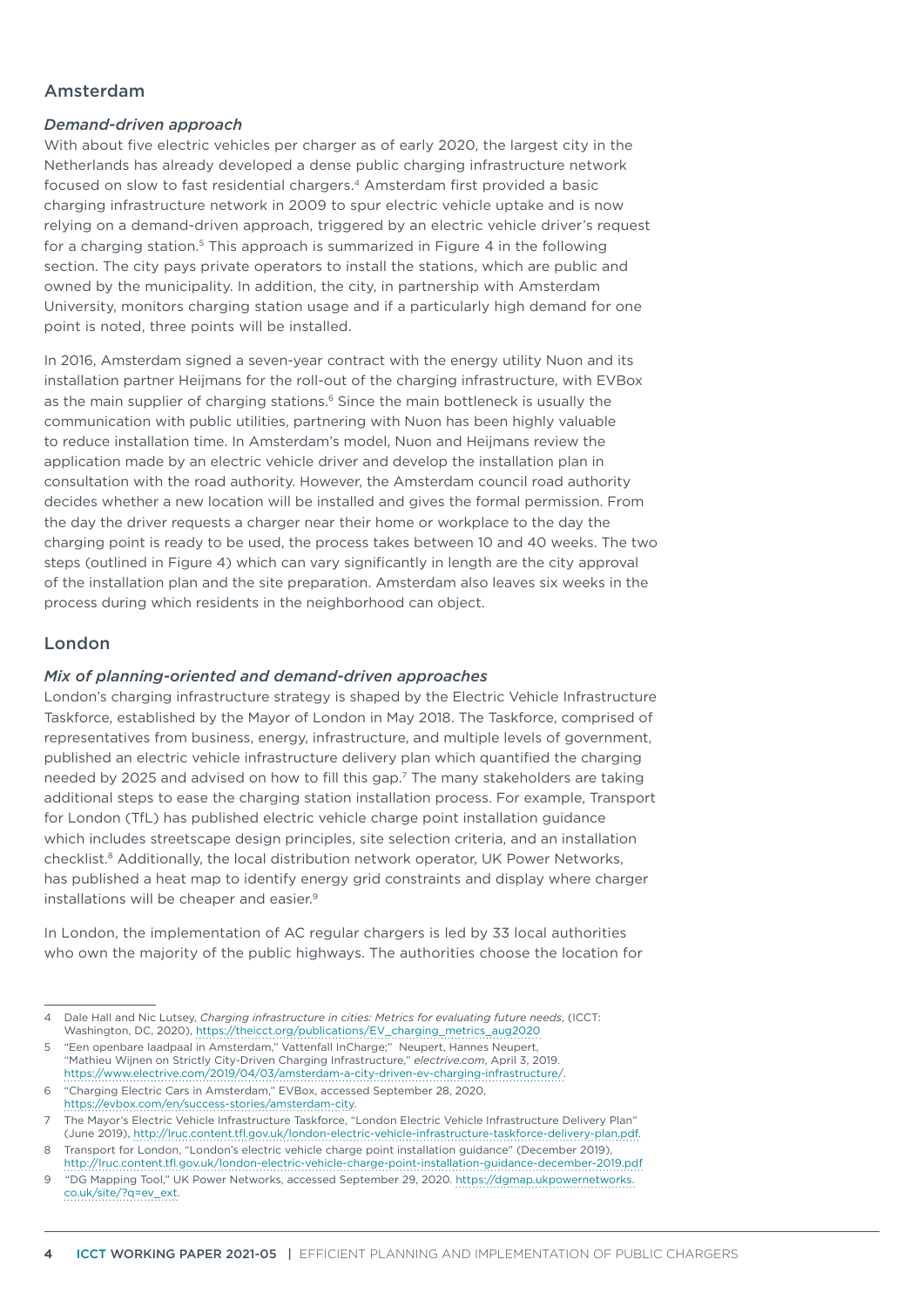# Amsterdam

### *Demand-driven approach*

With about five electric vehicles per charger as of early 2020, the largest city in the Netherlands has already developed a dense public charging infrastructure network focused on slow to fast residential chargers.4 Amsterdam first provided a basic charging infrastructure network in 2009 to spur electric vehicle uptake and is now relying on a demand-driven approach, triggered by an electric vehicle driver's request for a charging station.<sup>5</sup> This approach is summarized in [Figure](#page-8-0) 4 in the following section. The city pays private operators to install the stations, which are public and owned by the municipality. In addition, the city, in partnership with Amsterdam University, monitors charging station usage and if a particularly high demand for one point is noted, three points will be installed.

In 2016, Amsterdam signed a seven-year contract with the energy utility Nuon and its installation partner Heijmans for the roll-out of the charging infrastructure, with EVBox as the main supplier of charging stations.<sup>6</sup> Since the main bottleneck is usually the communication with public utilities, partnering with Nuon has been highly valuable to reduce installation time. In Amsterdam's model, Nuon and Heijmans review the application made by an electric vehicle driver and develop the installation plan in consultation with the road authority. However, the Amsterdam council road authority decides whether a new location will be installed and gives the formal permission. From the day the driver requests a charger near their home or workplace to the day the charging point is ready to be used, the process takes between 10 and 40 weeks. The two steps (outlined in [Figure 4\)](#page-7-0) which can vary significantly in length are the city approval of the installation plan and the site preparation. Amsterdam also leaves six weeks in the process during which residents in the neighborhood can object.

# London

### *Mix of planning-oriented and demand-driven approaches*

London's charging infrastructure strategy is shaped by the Electric Vehicle Infrastructure Taskforce, established by the Mayor of London in May 2018. The Taskforce, comprised of representatives from business, energy, infrastructure, and multiple levels of government, published an electric vehicle infrastructure delivery plan which quantified the charging needed by 2025 and advised on how to fill this gap.7 The many stakeholders are taking additional steps to ease the charging station installation process. For example, Transport for London (TfL) has published electric vehicle charge point installation guidance which includes streetscape design principles, site selection criteria, and an installation checklist.8 Additionally, the local distribution network operator, UK Power Networks, has published a heat map to identify energy grid constraints and display where charger installations will be cheaper and easier.9

In London, the implementation of AC regular chargers is led by 33 local authorities who own the majority of the public highways. The authorities choose the location for

6 "Charging Electric Cars in Amsterdam," EVBox, accessed September 28, 2020, <https://evbox.com/en/success-stories/amsterdam-city>.

<sup>4</sup> Dale Hall and Nic Lutsey, *Charging infrastructure in cities: Metrics for evaluating future needs*, (ICCT: Washington, DC, 2020), [https://theicct.org/publications/EV\\_charging\\_metrics\\_aug2020](https://theicct.org/publications/EV_charging_metrics_aug2020)

<sup>5</sup> "Een openbare laadpaal in Amsterdam," Vattenfall InCharge;" Neupert, Hannes Neupert, "Mathieu Wijnen on Strictly City-Driven Charging Infrastructure," *electrive.com*, April 3, 2019. <https://www.electrive.com/2019/04/03/amsterdam-a-city-driven-ev-charging-infrastructure/>.

<sup>7</sup> The Mayor's Electric Vehicle Infrastructure Taskforce, "London Electric Vehicle Infrastructure Delivery Plan" (June 2019),<http://lruc.content.tfl.gov.uk/london-electric-vehicle-infrastructure-taskforce-delivery-plan.pdf>.

<sup>8</sup> Transport for London, "London's electric vehicle charge point installation guidance" (December 2019), <http://lruc.content.tfl.gov.uk/london-electric-vehicle-charge-point-installation-guidance-december-2019.pdf>

<sup>9 &</sup>quot;DG Mapping Tool," UK Power Networks, accessed September 29, 2020. [https://dgmap.ukpowernetworks.](https://dgmap.ukpowernetworks.co.uk/site/?q=ev_ext) [co.uk/site/?q=ev\\_ext](https://dgmap.ukpowernetworks.co.uk/site/?q=ev_ext).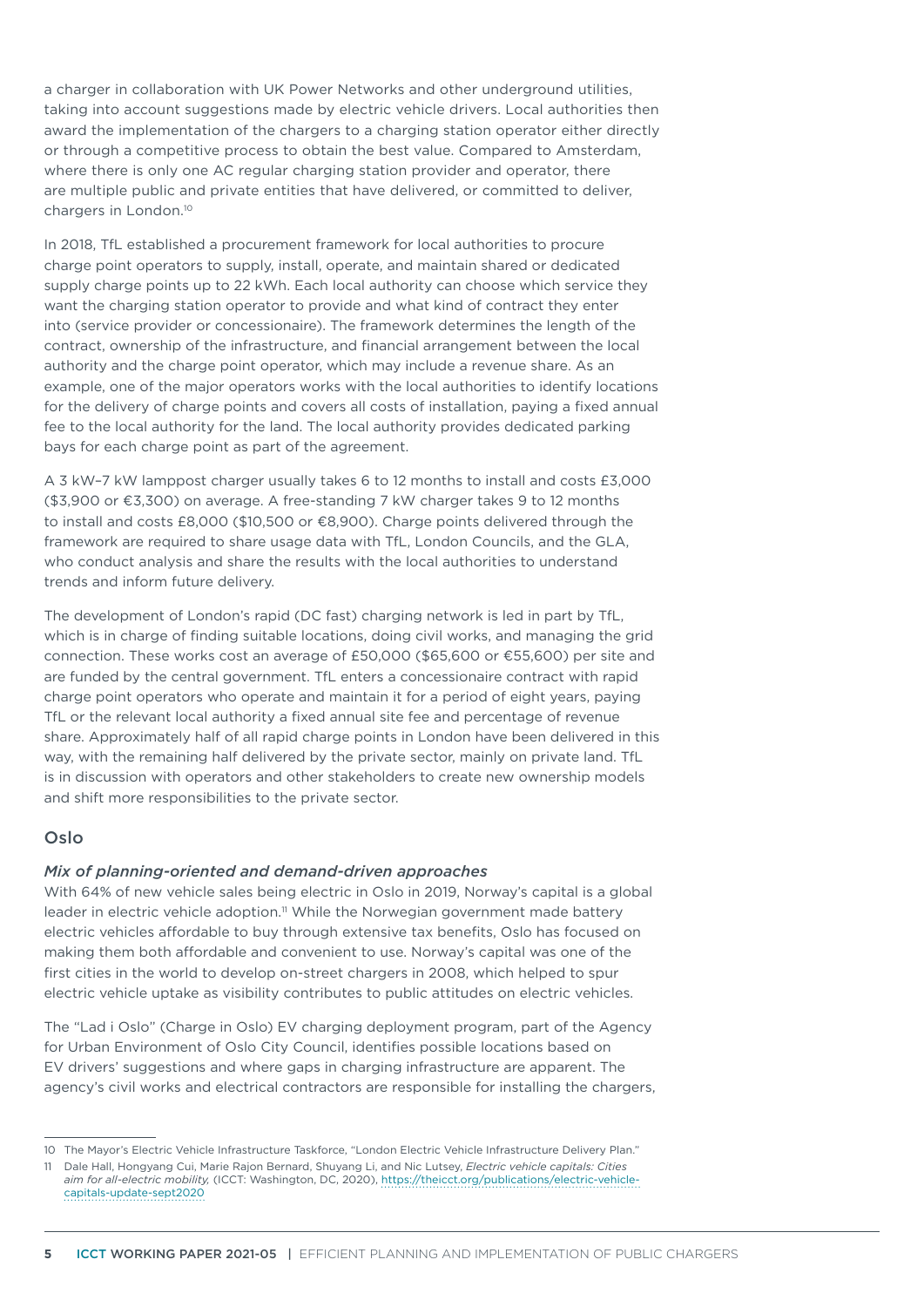a charger in collaboration with UK Power Networks and other underground utilities, taking into account suggestions made by electric vehicle drivers. Local authorities then award the implementation of the chargers to a charging station operator either directly or through a competitive process to obtain the best value. Compared to Amsterdam, where there is only one AC regular charging station provider and operator, there are multiple public and private entities that have delivered, or committed to deliver, chargers in London.<sup>10</sup>

In 2018, TfL established a procurement framework for local authorities to procure charge point operators to supply, install, operate, and maintain shared or dedicated supply charge points up to 22 kWh. Each local authority can choose which service they want the charging station operator to provide and what kind of contract they enter into (service provider or concessionaire). The framework determines the length of the contract, ownership of the infrastructure, and financial arrangement between the local authority and the charge point operator, which may include a revenue share. As an example, one of the major operators works with the local authorities to identify locations for the delivery of charge points and covers all costs of installation, paying a fixed annual fee to the local authority for the land. The local authority provides dedicated parking bays for each charge point as part of the agreement.

A 3 kW–7 kW lamppost charger usually takes 6 to 12 months to install and costs £3,000 (\$3,900 or €3,300) on average. A free-standing 7 kW charger takes 9 to 12 months to install and costs £8,000 (\$10,500 or €8,900). Charge points delivered through the framework are required to share usage data with TfL, London Councils, and the GLA, who conduct analysis and share the results with the local authorities to understand trends and inform future delivery.

The development of London's rapid (DC fast) charging network is led in part by TfL, which is in charge of finding suitable locations, doing civil works, and managing the grid connection. These works cost an average of £50,000 (\$65,600 or €55,600) per site and are funded by the central government. TfL enters a concessionaire contract with rapid charge point operators who operate and maintain it for a period of eight years, paying TfL or the relevant local authority a fixed annual site fee and percentage of revenue share. Approximately half of all rapid charge points in London have been delivered in this way, with the remaining half delivered by the private sector, mainly on private land. TfL is in discussion with operators and other stakeholders to create new ownership models and shift more responsibilities to the private sector.

# Oslo

### *Mix of planning-oriented and demand-driven approaches*

With 64% of new vehicle sales being electric in Oslo in 2019, Norway's capital is a global leader in electric vehicle adoption.<sup>11</sup> While the Norwegian government made battery electric vehicles affordable to buy through extensive tax benefits, Oslo has focused on making them both affordable and convenient to use. Norway's capital was one of the first cities in the world to develop on-street chargers in 2008, which helped to spur electric vehicle uptake as visibility contributes to public attitudes on electric vehicles.

The "Lad i Oslo" (Charge in Oslo) EV charging deployment program, part of the Agency for Urban Environment of Oslo City Council, identifies possible locations based on EV drivers' suggestions and where gaps in charging infrastructure are apparent. The agency's civil works and electrical contractors are responsible for installing the chargers,

<sup>10</sup> The Mayor's Electric Vehicle Infrastructure Taskforce, "London Electric Vehicle Infrastructure Delivery Plan."

<sup>11</sup> Dale Hall, Hongyang Cui, Marie Rajon Bernard, Shuyang Li, and Nic Lutsey, *Electric vehicle capitals: Cities aim for all-electric mobility,* (ICCT: Washington, DC, 2020), [https://theicct.org/publications/electric-vehicle](https://theicct.org/publications/electric-vehicle-capitals-update-sept2020)[capitals-update-sept2020](https://theicct.org/publications/electric-vehicle-capitals-update-sept2020)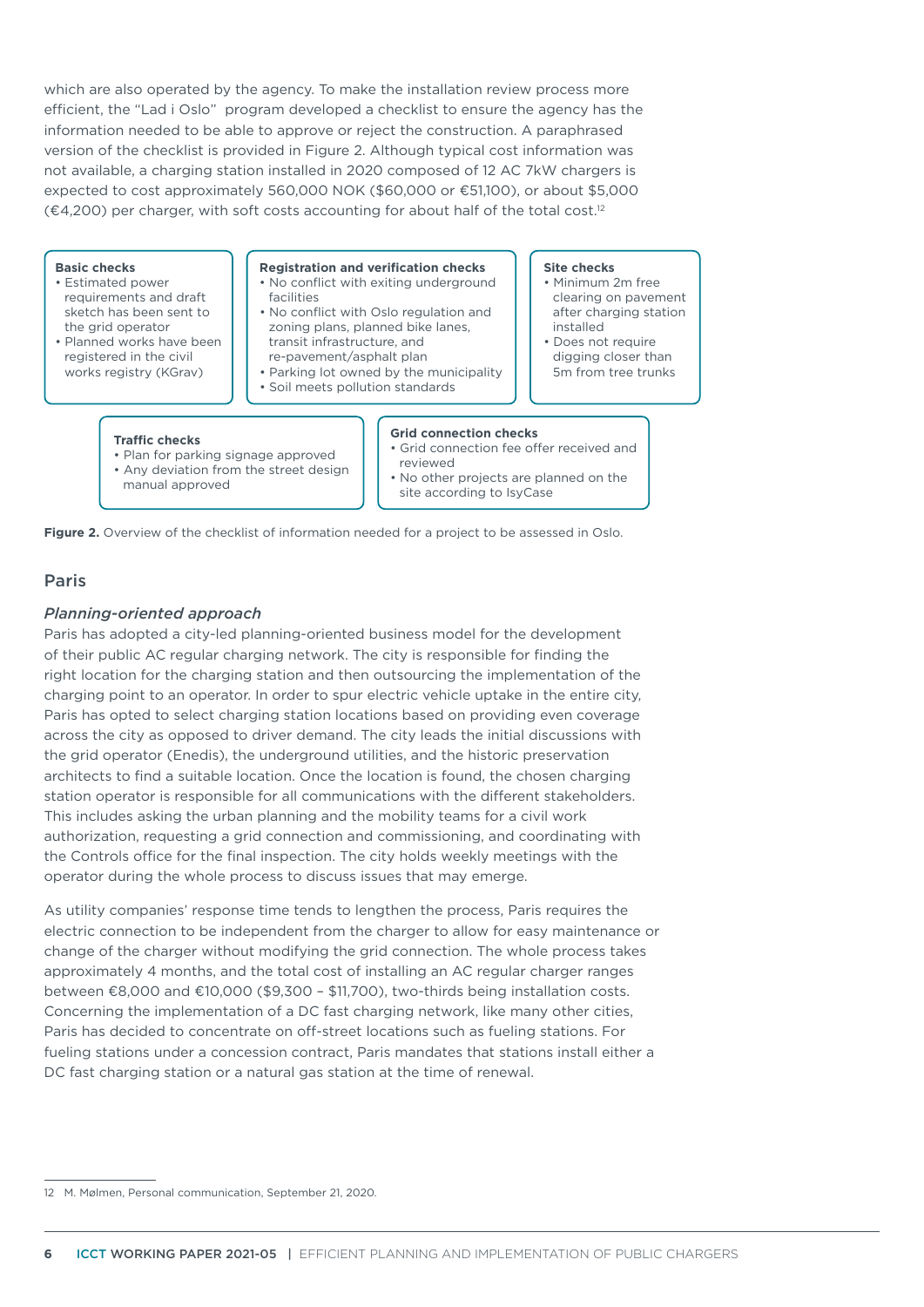which are also operated by the agency. To make the installation review process more efficient, the "Lad i Oslo" program developed a checklist to ensure the agency has the information needed to be able to approve or reject the construction. A paraphrased version of the checklist is provided in [Figure](#page-5-0) 2. Although typical cost information was not available, a charging station installed in 2020 composed of 12 AC 7kW chargers is expected to cost approximately 560,000 NOK (\$60,000 or €51,100), or about \$5,000 (€4,200) per charger, with soft costs accounting for about half of the total cost.12

#### **Basic checks**

- Estimated power requirements and draft sketch has been sent to the grid operator
- Planned works have been registered in the civil works registry (KGray)

#### **Registration and verification checks**

- No conflict with exiting underground facilities
- No conflict with Oslo regulation and zoning plans, planned bike lanes, transit infrastructure, and
- re-pavement/asphalt plan
- Parking lot owned by the municipality • Soil meets pollution standards
	-

#### **Site checks**

- Minimum 2m free clearing on pavement after charging station installed
- Does not require digging closer than 5m from tree trunks

#### **Traffic checks**

• Plan for parking signage approved • Any deviation from the street design manual approved

### **Grid connection checks**

- Grid connection fee offer received and reviewed
- No other projects are planned on the site according to IsyCase

**Figure 2.** Overview of the checklist of information needed for a project to be assessed in Oslo.

### Paris

### <span id="page-5-0"></span>*Planning-oriented approach*

Paris has adopted a city-led planning-oriented business model for the development of their public AC regular charging network. The city is responsible for finding the right location for the charging station and then outsourcing the implementation of the charging point to an operator. In order to spur electric vehicle uptake in the entire city, Paris has opted to select charging station locations based on providing even coverage across the city as opposed to driver demand. The city leads the initial discussions with the grid operator (Enedis), the underground utilities, and the historic preservation architects to find a suitable location. Once the location is found, the chosen charging station operator is responsible for all communications with the different stakeholders. This includes asking the urban planning and the mobility teams for a civil work authorization, requesting a grid connection and commissioning, and coordinating with the Controls office for the final inspection. The city holds weekly meetings with the operator during the whole process to discuss issues that may emerge.

As utility companies' response time tends to lengthen the process, Paris requires the electric connection to be independent from the charger to allow for easy maintenance or change of the charger without modifying the grid connection. The whole process takes approximately 4 months, and the total cost of installing an AC regular charger ranges between €8,000 and €10,000 (\$9,300 – \$11,700), two-thirds being installation costs. Concerning the implementation of a DC fast charging network, like many other cities, Paris has decided to concentrate on off-street locations such as fueling stations. For fueling stations under a concession contract, Paris mandates that stations install either a DC fast charging station or a natural gas station at the time of renewal.

<sup>12</sup> M. Mølmen, Personal communication, September 21, 2020.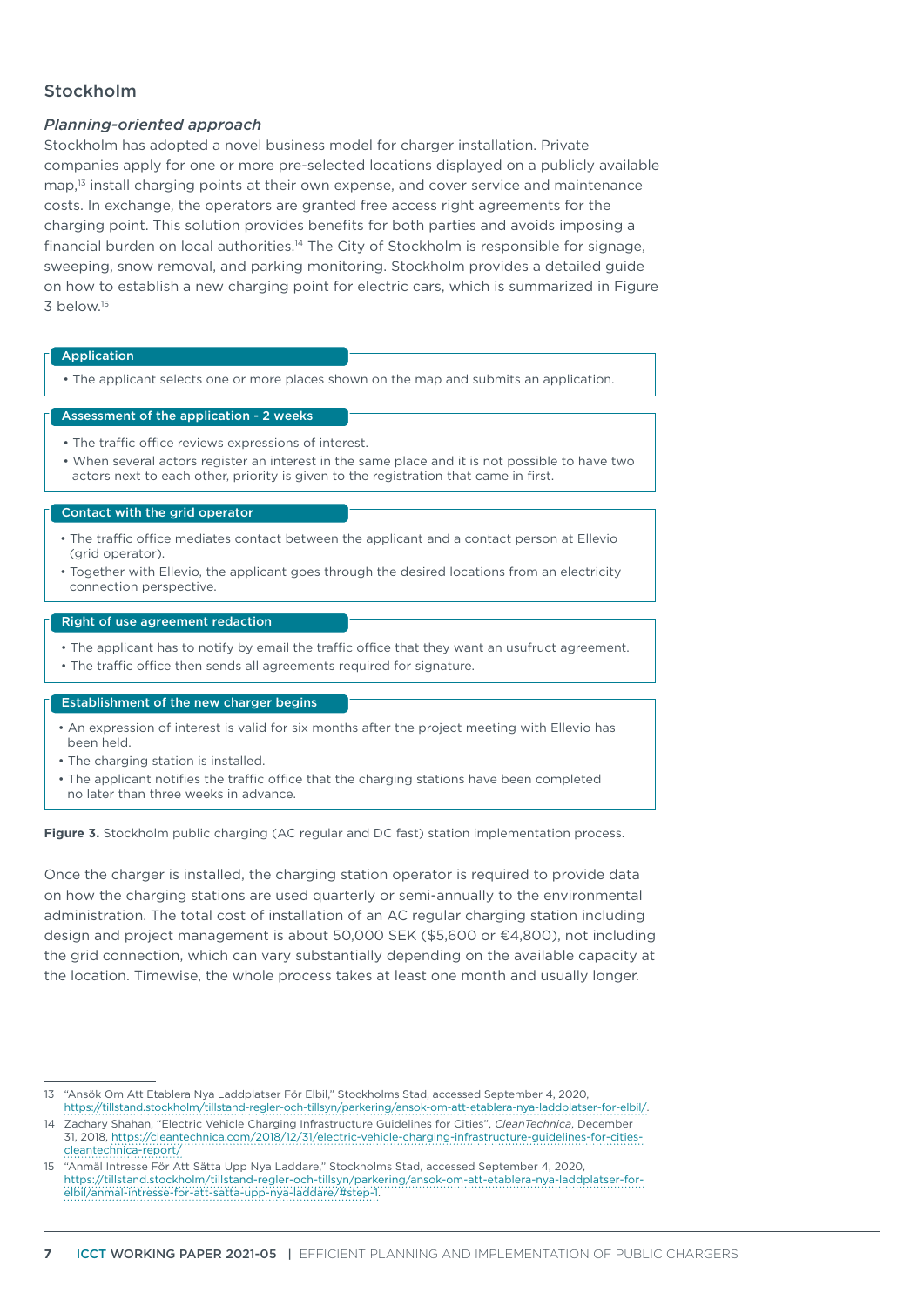# Stockholm

### *Planning-oriented approach*

Stockholm has adopted a novel business model for charger installation. Private companies apply for one or more pre-selected locations displayed on a publicly available map,<sup>13</sup> install charging points at their own expense, and cover service and maintenance costs. In exchange, the operators are granted free access right agreements for the charging point. This solution provides benefits for both parties and avoids imposing a financial burden on local authorities.<sup>14</sup> The City of Stockholm is responsible for signage, sweeping, snow removal, and parking monitoring. Stockholm provides a detailed guide on how to establish a new charging point for electric cars, which is summarized in [Figure](#page-6-0)   $3$  below<sup>15</sup>

#### Application

• The applicant selects one or more places shown on the map and submits an application.

#### Assessment of the application - 2 weeks

- The traffic office reviews expressions of interest.
- When several actors register an interest in the same place and it is not possible to have two actors next to each other, priority is given to the registration that came in first.

#### Contact with the grid operator

- The traffic office mediates contact between the applicant and a contact person at Ellevio (grid operator).
- Together with Ellevio, the applicant goes through the desired locations from an electricity connection perspective.

#### Right of use agreement redaction

- The applicant has to notify by email the traffic office that they want an usufruct agreement.
- The traffic office then sends all agreements required for signature.

#### Establishment of the new charger begins

- An expression of interest is valid for six months after the project meeting with Ellevio has been held.
- The charging station is installed.
- The applicant notifies the traffic office that the charging stations have been completed no later than three weeks in advance.

Figure 3. Stockholm public charging (AC regular and DC fast) station implementation process.

<span id="page-6-0"></span>Once the charger is installed, the charging station operator is required to provide data on how the charging stations are used quarterly or semi-annually to the environmental administration. The total cost of installation of an AC regular charging station including design and project management is about 50,000 SEK (\$5,600 or €4,800), not including the grid connection, which can vary substantially depending on the available capacity at the location. Timewise, the whole process takes at least one month and usually longer.

<sup>13</sup> "Ansök Om Att Etablera Nya Laddplatser För Elbil," Stockholms Stad, accessed September 4, 2020, [https://tillstand.stockholm/tillstand-regler-och-tillsyn/parkering/ansok-om-att-etablera-nya-laddplatser-for-elbil/.](https://tillstand.stockholm/tillstand-regler-och-tillsyn/parkering/ansok-om-att-etablera-nya-laddplatser-for-elbil/)

<sup>14</sup> Zachary Shahan, "Electric Vehicle Charging Infrastructure Guidelines for Cities", *CleanTechnica*, December 31, 2018, [https://cleantechnica.com/2018/12/31/electric-vehicle-charging-infrastructure-guidelines-for-cities](https://cleantechnica.com/2018/12/31/electric-vehicle-charging-infrastructure-guidelines-for-cities-cleantechnica-report/)[cleantechnica-report/](https://cleantechnica.com/2018/12/31/electric-vehicle-charging-infrastructure-guidelines-for-cities-cleantechnica-report/)

<sup>15</sup> "Anmäl Intresse För Att Sätta Upp Nya Laddare," Stockholms Stad, accessed September 4, 2020, [https://tillstand.stockholm/tillstand-regler-och-tillsyn/parkering/ansok-om-att-etablera-nya-laddplatser-for](https://tillstand.stockholm/tillstand-regler-och-tillsyn/parkering/ansok-om-att-etablera-nya-laddplatser-for-elbil/anmal-intresse-for-att-satta-upp-nya-laddare/#step-1)[elbil/anmal-intresse-for-att-satta-upp-nya-laddare/#step-1.](https://tillstand.stockholm/tillstand-regler-och-tillsyn/parkering/ansok-om-att-etablera-nya-laddplatser-for-elbil/anmal-intresse-for-att-satta-upp-nya-laddare/#step-1)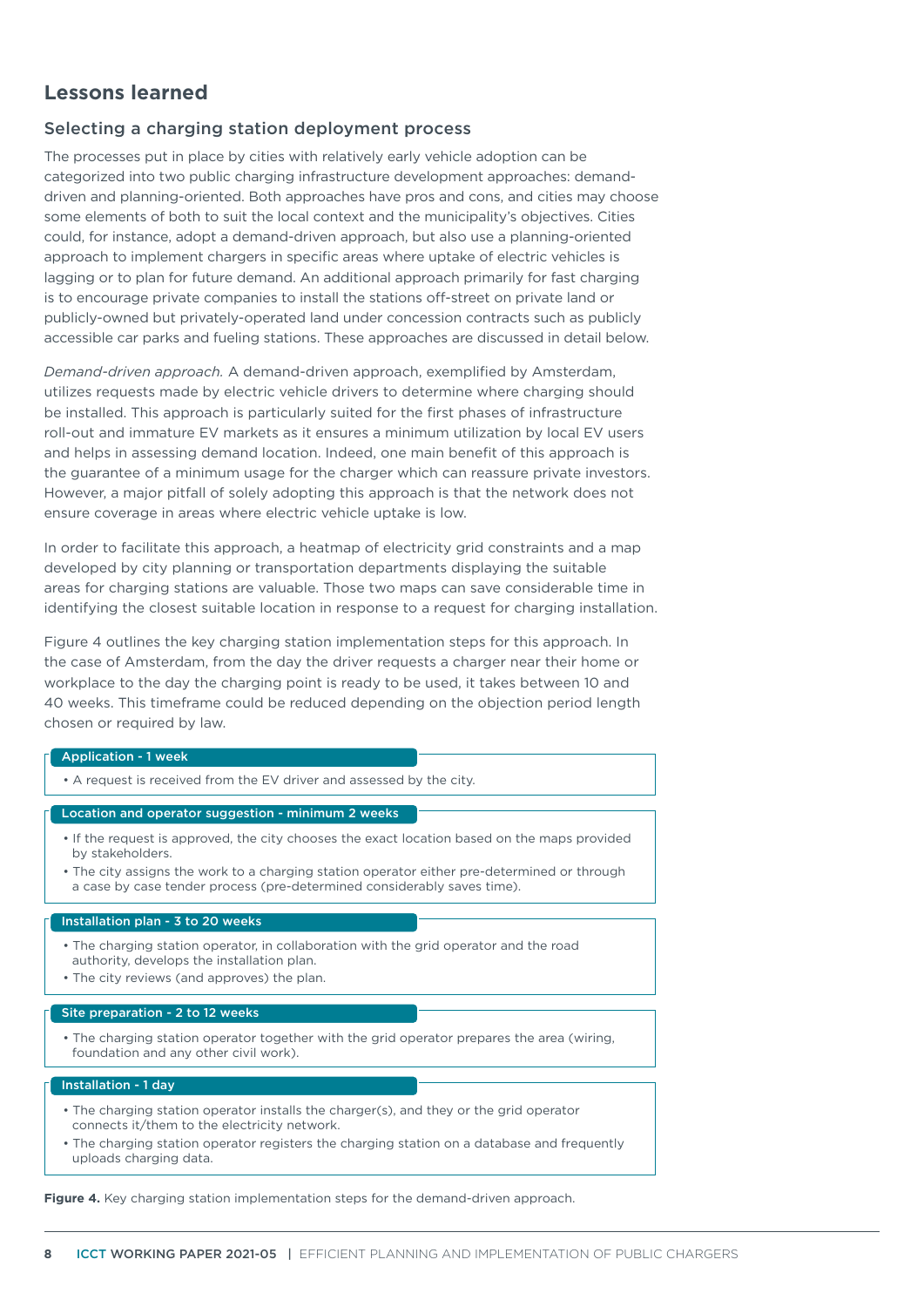# <span id="page-7-0"></span>**Lessons learned**

# Selecting a charging station deployment process

The processes put in place by cities with relatively early vehicle adoption can be categorized into two public charging infrastructure development approaches: demanddriven and planning-oriented. Both approaches have pros and cons, and cities may choose some elements of both to suit the local context and the municipality's objectives. Cities could, for instance, adopt a demand-driven approach, but also use a planning-oriented approach to implement chargers in specific areas where uptake of electric vehicles is lagging or to plan for future demand. An additional approach primarily for fast charging is to encourage private companies to install the stations off-street on private land or publicly-owned but privately-operated land under concession contracts such as publicly accessible car parks and fueling stations. These approaches are discussed in detail below.

*Demand-driven approach.* A demand-driven approach, exemplified by Amsterdam, utilizes requests made by electric vehicle drivers to determine where charging should be installed. This approach is particularly suited for the first phases of infrastructure roll-out and immature EV markets as it ensures a minimum utilization by local EV users and helps in assessing demand location. Indeed, one main benefit of this approach is the guarantee of a minimum usage for the charger which can reassure private investors. However, a major pitfall of solely adopting this approach is that the network does not ensure coverage in areas where electric vehicle uptake is low.

In order to facilitate this approach, a heatmap of electricity grid constraints and a map developed by city planning or transportation departments displaying the suitable areas for charging stations are valuable. Those two maps can save considerable time in identifying the closest suitable location in response to a request for charging installation.

[Figure 4](#page-8-0) outlines the key charging station implementation steps for this approach. In the case of Amsterdam, from the day the driver requests a charger near their home or workplace to the day the charging point is ready to be used, it takes between 10 and 40 weeks. This timeframe could be reduced depending on the objection period length chosen or required by law.

#### Application - 1 week

• A request is received from the EV driver and assessed by the city.

#### Location and operator suggestion - minimum 2 weeks

- If the request is approved, the city chooses the exact location based on the maps provided by stakeholders.
- The city assigns the work to a charging station operator either pre-determined or through a case by case tender process (pre-determined considerably saves time).

#### Installation plan - 3 to 20 weeks

- The charging station operator, in collaboration with the grid operator and the road authority, develops the installation plan.
- The city reviews (and approves) the plan.

#### Site preparation - 2 to 12 weeks

• The charging station operator together with the grid operator prepares the area (wiring, foundation and any other civil work).

#### Installation - 1 day

- The charging station operator installs the charger(s), and they or the grid operator connects it/them to the electricity network.
- The charging station operator registers the charging station on a database and frequently uploads charging data.

**Figure 4.** Key charging station implementation steps for the demand-driven approach.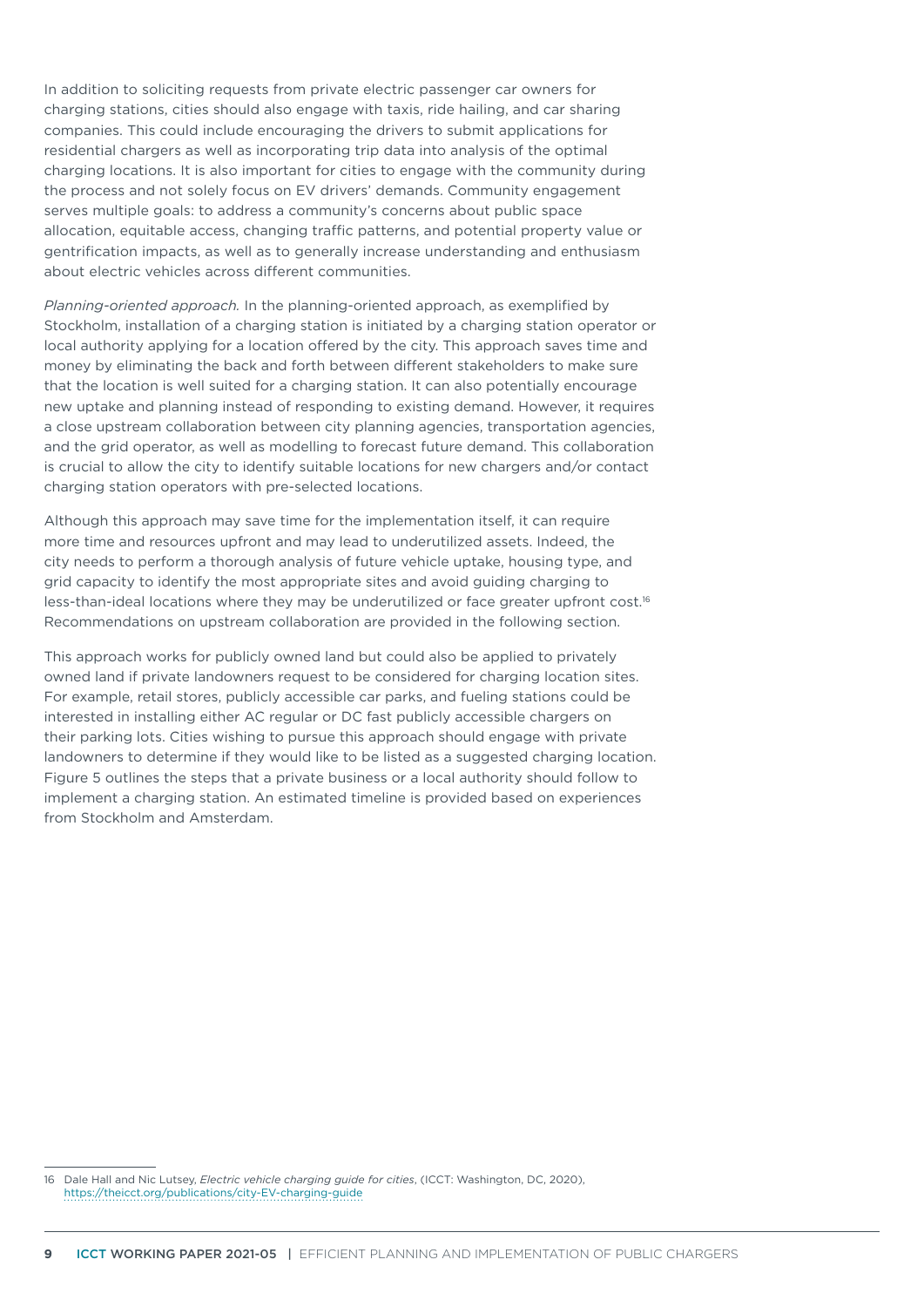<span id="page-8-0"></span>In addition to soliciting requests from private electric passenger car owners for charging stations, cities should also engage with taxis, ride hailing, and car sharing companies. This could include encouraging the drivers to submit applications for residential chargers as well as incorporating trip data into analysis of the optimal charging locations. It is also important for cities to engage with the community during the process and not solely focus on EV drivers' demands. Community engagement serves multiple goals: to address a community's concerns about public space allocation, equitable access, changing traffic patterns, and potential property value or gentrification impacts, as well as to generally increase understanding and enthusiasm about electric vehicles across different communities.

*Planning-oriented approach.* In the planning-oriented approach, as exemplified by Stockholm, installation of a charging station is initiated by a charging station operator or local authority applying for a location offered by the city. This approach saves time and money by eliminating the back and forth between different stakeholders to make sure that the location is well suited for a charging station. It can also potentially encourage new uptake and planning instead of responding to existing demand. However, it requires a close upstream collaboration between city planning agencies, transportation agencies, and the grid operator, as well as modelling to forecast future demand. This collaboration is crucial to allow the city to identify suitable locations for new chargers and/or contact charging station operators with pre-selected locations.

Although this approach may save time for the implementation itself, it can require more time and resources upfront and may lead to underutilized assets. Indeed, the city needs to perform a thorough analysis of future vehicle uptake, housing type, and grid capacity to identify the most appropriate sites and avoid guiding charging to less-than-ideal locations where they may be underutilized or face greater upfront cost.<sup>16</sup> Recommendations on upstream collaboration are provided in the following section.

This approach works for publicly owned land but could also be applied to privately owned land if private landowners request to be considered for charging location sites. For example, retail stores, publicly accessible car parks, and fueling stations could be interested in installing either AC regular or DC fast publicly accessible chargers on their parking lots. Cities wishing to pursue this approach should engage with private landowners to determine if they would like to be listed as a suggested charging location. [Figure 5](#page-9-0) outlines the steps that a private business or a local authority should follow to implement a charging station. An estimated timeline is provided based on experiences from Stockholm and Amsterdam.

<sup>16</sup> Dale Hall and Nic Lutsey, *Electric vehicle charging guide for cities*, (ICCT: Washington, DC, 2020), <https://theicct.org/publications/city-EV-charging-guide>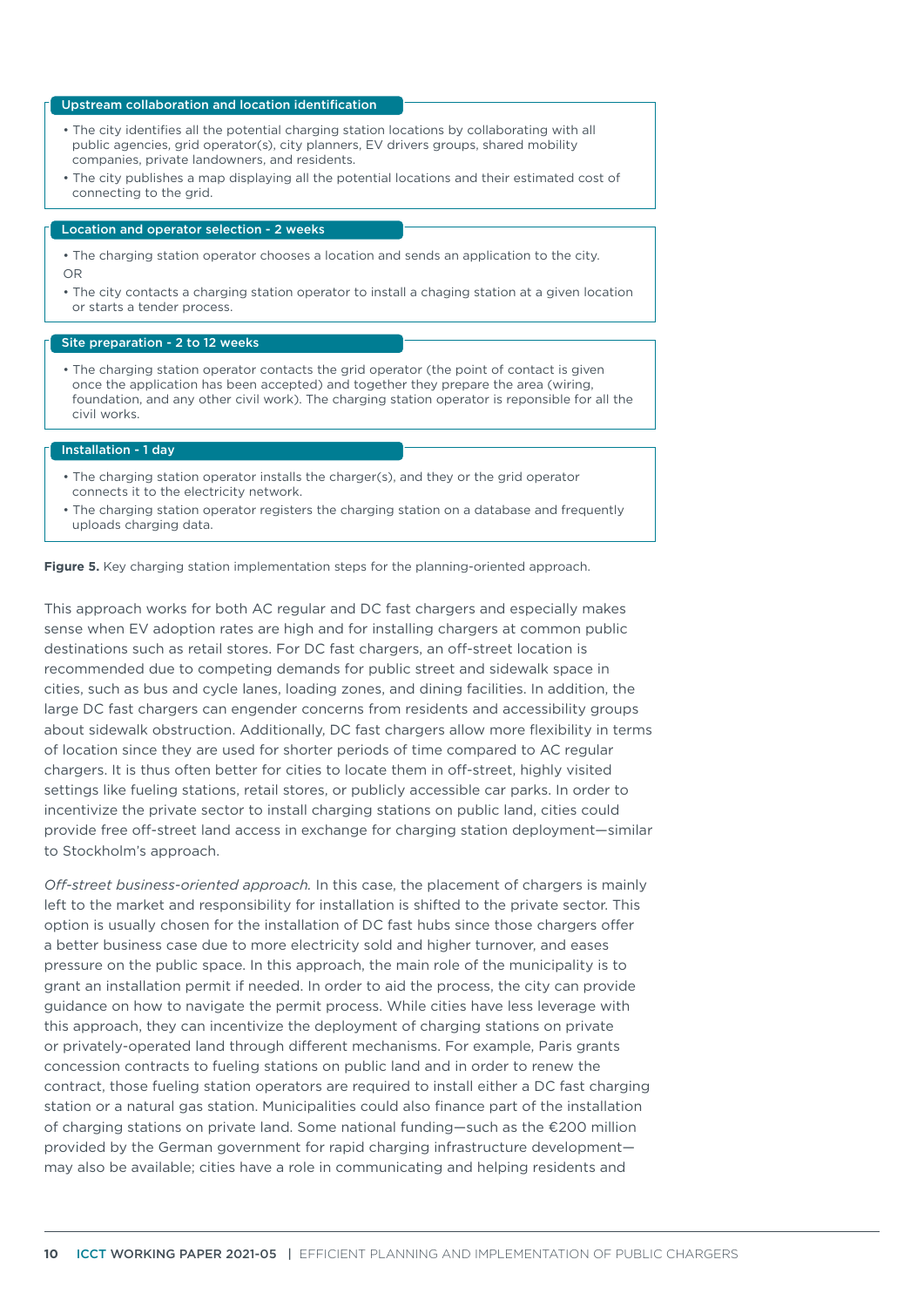#### Upstream collaboration and location identification

- The city identifies all the potential charging station locations by collaborating with all public agencies, grid operator(s), city planners, EV drivers groups, shared mobility companies, private landowners, and residents.
- The city publishes a map displaying all the potential locations and their estimated cost of connecting to the grid.

#### Location and operator selection - 2 weeks

- The charging station operator chooses a location and sends an application to the city. OR
- The city contacts a charging station operator to install a chaging station at a given location or starts a tender process.

#### Site preparation - 2 to 12 weeks

• The charging station operator contacts the grid operator (the point of contact is given once the application has been accepted) and together they prepare the area (wiring, foundation, and any other civil work). The charging station operator is reponsible for all the civil works.

#### Installation - 1 day

- The charging station operator installs the charger(s), and they or the grid operator connects it to the electricity network.
- The charging station operator registers the charging station on a database and frequently uploads charging data.

**Figure 5.** Key charging station implementation steps for the planning-oriented approach.

<span id="page-9-0"></span>This approach works for both AC regular and DC fast chargers and especially makes sense when EV adoption rates are high and for installing chargers at common public destinations such as retail stores. For DC fast chargers, an off-street location is recommended due to competing demands for public street and sidewalk space in cities, such as bus and cycle lanes, loading zones, and dining facilities. In addition, the large DC fast chargers can engender concerns from residents and accessibility groups about sidewalk obstruction. Additionally, DC fast chargers allow more flexibility in terms of location since they are used for shorter periods of time compared to AC regular chargers. It is thus often better for cities to locate them in off-street, highly visited settings like fueling stations, retail stores, or publicly accessible car parks. In order to incentivize the private sector to install charging stations on public land, cities could provide free off-street land access in exchange for charging station deployment—similar to Stockholm's approach.

*Off-street business-oriented approach.* In this case, the placement of chargers is mainly left to the market and responsibility for installation is shifted to the private sector. This option is usually chosen for the installation of DC fast hubs since those chargers offer a better business case due to more electricity sold and higher turnover, and eases pressure on the public space. In this approach, the main role of the municipality is to grant an installation permit if needed. In order to aid the process, the city can provide guidance on how to navigate the permit process. While cities have less leverage with this approach, they can incentivize the deployment of charging stations on private or privately-operated land through different mechanisms. For example, Paris grants concession contracts to fueling stations on public land and in order to renew the contract, those fueling station operators are required to install either a DC fast charging station or a natural gas station. Municipalities could also finance part of the installation of charging stations on private land. Some national funding—such as the €200 million provided by the German government for rapid charging infrastructure development may also be available; cities have a role in communicating and helping residents and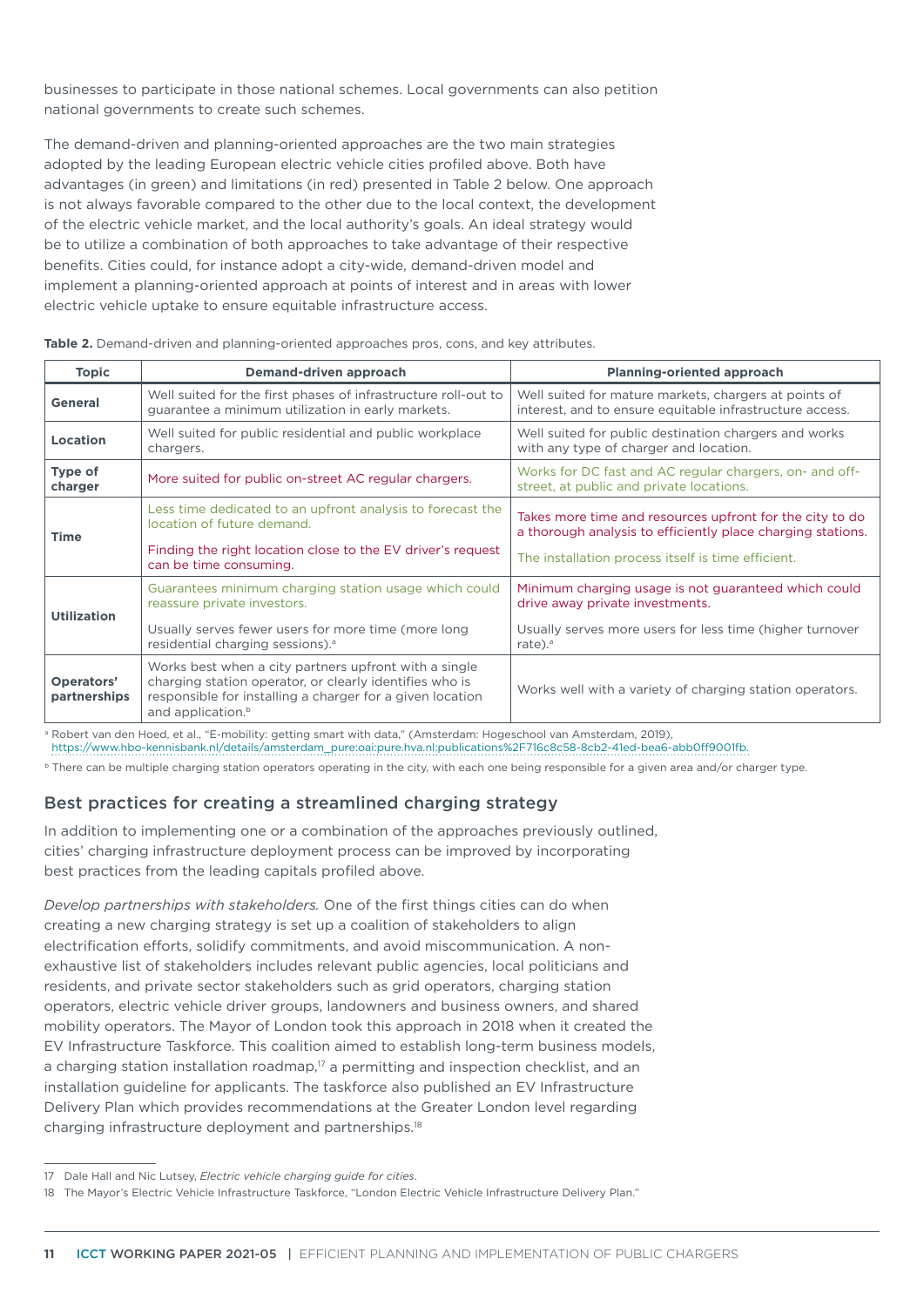businesses to participate in those national schemes. Local governments can also petition national governments to create such schemes.

The demand-driven and planning-oriented approaches are the two main strategies adopted by the leading European electric vehicle cities profiled above. Both have advantages (in green) and limitations (in red) presented in Table 2 below. One approach is not always favorable compared to the other due to the local context, the development of the electric vehicle market, and the local authority's goals. An ideal strategy would be to utilize a combination of both approaches to take advantage of their respective benefits. Cities could, for instance adopt a city-wide, demand-driven model and implement a planning-oriented approach at points of interest and in areas with lower electric vehicle uptake to ensure equitable infrastructure access.

| <b>Topic</b>               | Demand-driven approach                                                                                                                                                                                         | <b>Planning-oriented approach</b>                                                                                       |  |
|----------------------------|----------------------------------------------------------------------------------------------------------------------------------------------------------------------------------------------------------------|-------------------------------------------------------------------------------------------------------------------------|--|
| <b>General</b>             | Well suited for the first phases of infrastructure roll-out to<br>guarantee a minimum utilization in early markets.                                                                                            | Well suited for mature markets, chargers at points of<br>interest, and to ensure equitable infrastructure access.       |  |
| Location                   | Well suited for public residential and public workplace<br>chargers.                                                                                                                                           | Well suited for public destination chargers and works<br>with any type of charger and location.                         |  |
| Type of<br>charger         | More suited for public on-street AC regular chargers.                                                                                                                                                          | Works for DC fast and AC regular chargers, on- and off-<br>street, at public and private locations.                     |  |
| <b>Time</b>                | Less time dedicated to an upfront analysis to forecast the<br>location of future demand.                                                                                                                       | Takes more time and resources upfront for the city to do<br>a thorough analysis to efficiently place charging stations. |  |
|                            | Finding the right location close to the EV driver's request<br>can be time consuming.                                                                                                                          | The installation process itself is time efficient.                                                                      |  |
| <b>Utilization</b>         | Guarantees minimum charging station usage which could<br>reassure private investors.                                                                                                                           | Minimum charging usage is not guaranteed which could<br>drive away private investments.                                 |  |
|                            | Usually serves fewer users for more time (more long<br>residential charging sessions). <sup>a</sup>                                                                                                            | Usually serves more users for less time (higher turnover<br>rate). <sup>a</sup>                                         |  |
| Operators'<br>partnerships | Works best when a city partners upfront with a single<br>charging station operator, or clearly identifies who is<br>responsible for installing a charger for a given location<br>and application. <sup>b</sup> | Works well with a variety of charging station operators.                                                                |  |

**Table 2.** Demand-driven and planning-oriented approaches pros, cons, and key attributes.

<sup>a</sup> Robert van den Hoed, et al., "E-mobility: getting smart with data," (Amsterdam: Hogeschool van Amsterdam, 2019),

[https://www.hbo-kennisbank.nl/details/amsterdam\\_pure:oai:pure.hva.nl:publications%2F716c8c58-8cb2-41ed-bea6-abb0ff9001fb.](https://www.hbo-kennisbank.nl/details/amsterdam_pure:oai:pure.hva.nl:publications%2F716c8c58-8cb2-41ed-bea6-abb0ff9001fb)

<sup>b</sup> There can be multiple charging station operators operating in the city, with each one being responsible for a given area and/or charger type.

# Best practices for creating a streamlined charging strategy

In addition to implementing one or a combination of the approaches previously outlined, cities' charging infrastructure deployment process can be improved by incorporating best practices from the leading capitals profiled above.

*Develop partnerships with stakeholders.* One of the first things cities can do when creating a new charging strategy is set up a coalition of stakeholders to align electrification efforts, solidify commitments, and avoid miscommunication. A nonexhaustive list of stakeholders includes relevant public agencies, local politicians and residents, and private sector stakeholders such as grid operators, charging station operators, electric vehicle driver groups, landowners and business owners, and shared mobility operators. The Mayor of London took this approach in 2018 when it created the EV Infrastructure Taskforce. This coalition aimed to establish long-term business models, a charging station installation roadmap, $17$  a permitting and inspection checklist, and an installation guideline for applicants. The taskforce also published an EV Infrastructure Delivery Plan which provides recommendations at the Greater London level regarding charging infrastructure deployment and partnerships.18

<sup>17</sup> Dale Hall and Nic Lutsey, *Electric vehicle charging guide for cities*.

<sup>18</sup> The Mayor's Electric Vehicle Infrastructure Taskforce, "London Electric Vehicle Infrastructure Delivery Plan."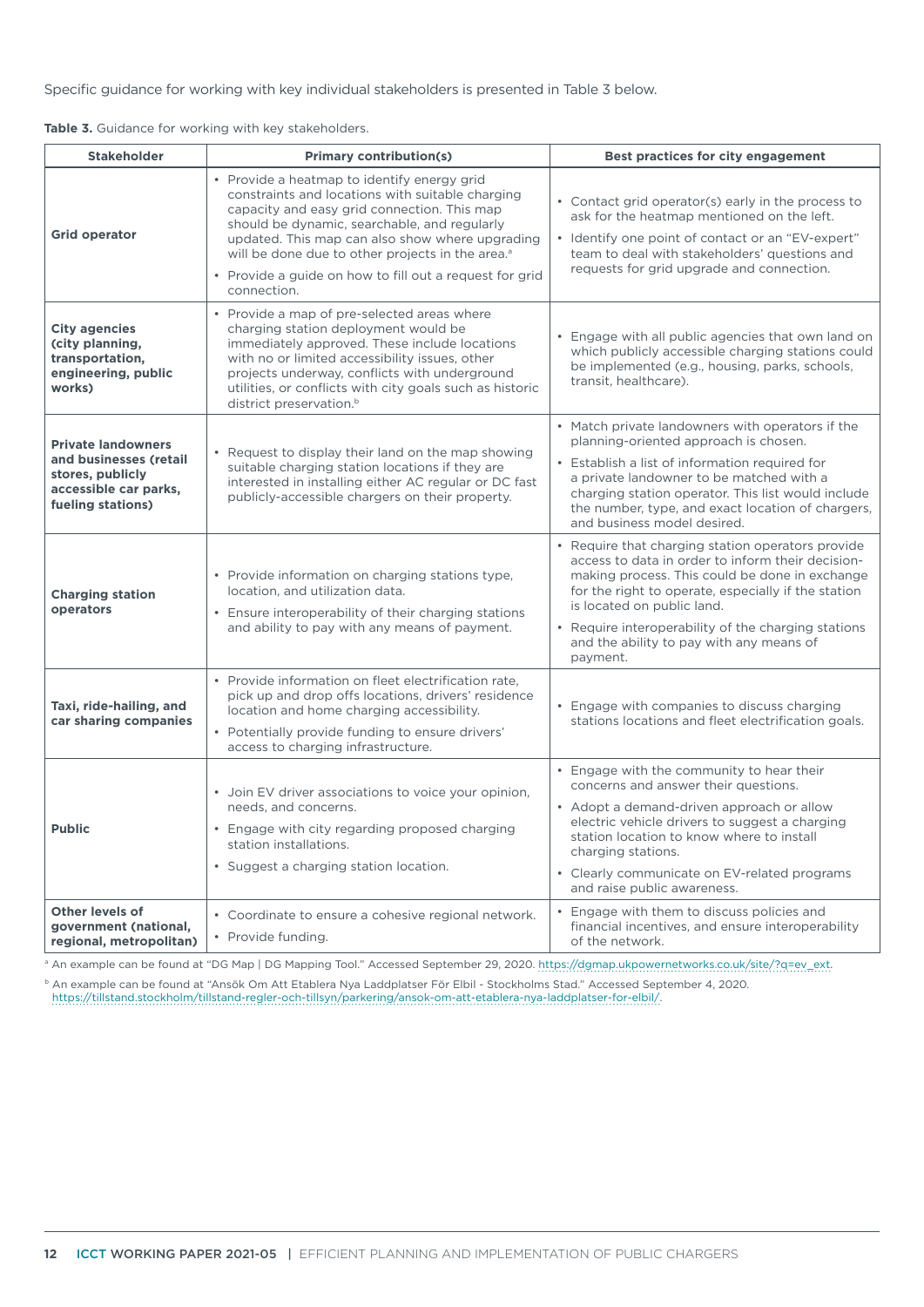Specific guidance for working with key individual stakeholders is presented in Table 3 below.

|  |  |  |  | Table 3. Guidance for working with key stakeholders. |
|--|--|--|--|------------------------------------------------------|
|--|--|--|--|------------------------------------------------------|

| <b>Stakeholder</b>                                                                                                    | <b>Primary contribution(s)</b>                                                                                                                                                                                                                                                                                                                                                              | Best practices for city engagement                                                                                                                                                                                                                                                                                                                           |  |  |
|-----------------------------------------------------------------------------------------------------------------------|---------------------------------------------------------------------------------------------------------------------------------------------------------------------------------------------------------------------------------------------------------------------------------------------------------------------------------------------------------------------------------------------|--------------------------------------------------------------------------------------------------------------------------------------------------------------------------------------------------------------------------------------------------------------------------------------------------------------------------------------------------------------|--|--|
| <b>Grid operator</b>                                                                                                  | • Provide a heatmap to identify energy grid<br>constraints and locations with suitable charging<br>capacity and easy grid connection. This map<br>should be dynamic, searchable, and regularly<br>updated. This map can also show where upgrading<br>will be done due to other projects in the area. <sup>a</sup><br>• Provide a guide on how to fill out a request for grid<br>connection. | • Contact grid operator(s) early in the process to<br>ask for the heatmap mentioned on the left.<br>• Identify one point of contact or an "EV-expert"<br>team to deal with stakeholders' questions and<br>requests for grid upgrade and connection.                                                                                                          |  |  |
| <b>City agencies</b><br>(city planning,<br>transportation,<br>engineering, public<br>works)                           | Provide a map of pre-selected areas where<br>charging station deployment would be<br>immediately approved. These include locations<br>with no or limited accessibility issues, other<br>projects underway, conflicts with underground<br>utilities, or conflicts with city goals such as historic<br>district preservation. <sup>b</sup>                                                    | • Engage with all public agencies that own land on<br>which publicly accessible charging stations could<br>be implemented (e.g., housing, parks, schools,<br>transit, healthcare).                                                                                                                                                                           |  |  |
| <b>Private landowners</b><br>and businesses (retail<br>stores, publicly<br>accessible car parks,<br>fueling stations) | • Request to display their land on the map showing<br>suitable charging station locations if they are<br>interested in installing either AC regular or DC fast<br>publicly-accessible chargers on their property.                                                                                                                                                                           | • Match private landowners with operators if the<br>planning-oriented approach is chosen.<br>• Establish a list of information required for<br>a private landowner to be matched with a<br>charging station operator. This list would include<br>the number, type, and exact location of chargers,<br>and business model desired.                            |  |  |
| <b>Charging station</b><br>operators                                                                                  | • Provide information on charging stations type,<br>location, and utilization data.<br>Ensure interoperability of their charging stations<br>and ability to pay with any means of payment.                                                                                                                                                                                                  | • Require that charging station operators provide<br>access to data in order to inform their decision-<br>making process. This could be done in exchange<br>for the right to operate, especially if the station<br>is located on public land.<br>• Require interoperability of the charging stations<br>and the ability to pay with any means of<br>payment. |  |  |
| Taxi, ride-hailing, and<br>car sharing companies                                                                      | • Provide information on fleet electrification rate,<br>pick up and drop offs locations, drivers' residence<br>location and home charging accessibility.<br>• Potentially provide funding to ensure drivers'<br>access to charging infrastructure.                                                                                                                                          | • Engage with companies to discuss charging<br>stations locations and fleet electrification goals.                                                                                                                                                                                                                                                           |  |  |
| <b>Public</b>                                                                                                         | • Join EV driver associations to voice your opinion,<br>needs, and concerns.<br>• Engage with city regarding proposed charging<br>station installations.<br>• Suggest a charging station location.                                                                                                                                                                                          | • Engage with the community to hear their<br>concerns and answer their questions.<br>• Adopt a demand-driven approach or allow<br>electric vehicle drivers to suggest a charging<br>station location to know where to install<br>charging stations.<br>• Clearly communicate on EV-related programs<br>and raise public awareness.                           |  |  |
| <b>Other levels of</b><br>government (national,<br>regional, metropolitan)                                            | • Coordinate to ensure a cohesive regional network.<br>• Provide funding.                                                                                                                                                                                                                                                                                                                   | • Engage with them to discuss policies and<br>financial incentives, and ensure interoperability<br>of the network.                                                                                                                                                                                                                                           |  |  |

a An example can be found at "DG Map | DG Mapping Tool." Accessed September 29, 2020. [https://dgmap.ukpowernetworks.co.uk/site/?q=ev\\_ext](https://dgmap.ukpowernetworks.co.uk/site/?q=ev_ext).

<sup>b</sup> An example can be found at "Ansök Om Att Etablera Nya Laddplatser För Elbil - Stockholms Stad." Accessed September 4, 2020. <https://tillstand.stockholm/tillstand-regler-och-tillsyn/parkering/ansok-om-att-etablera-nya-laddplatser-for-elbil/>.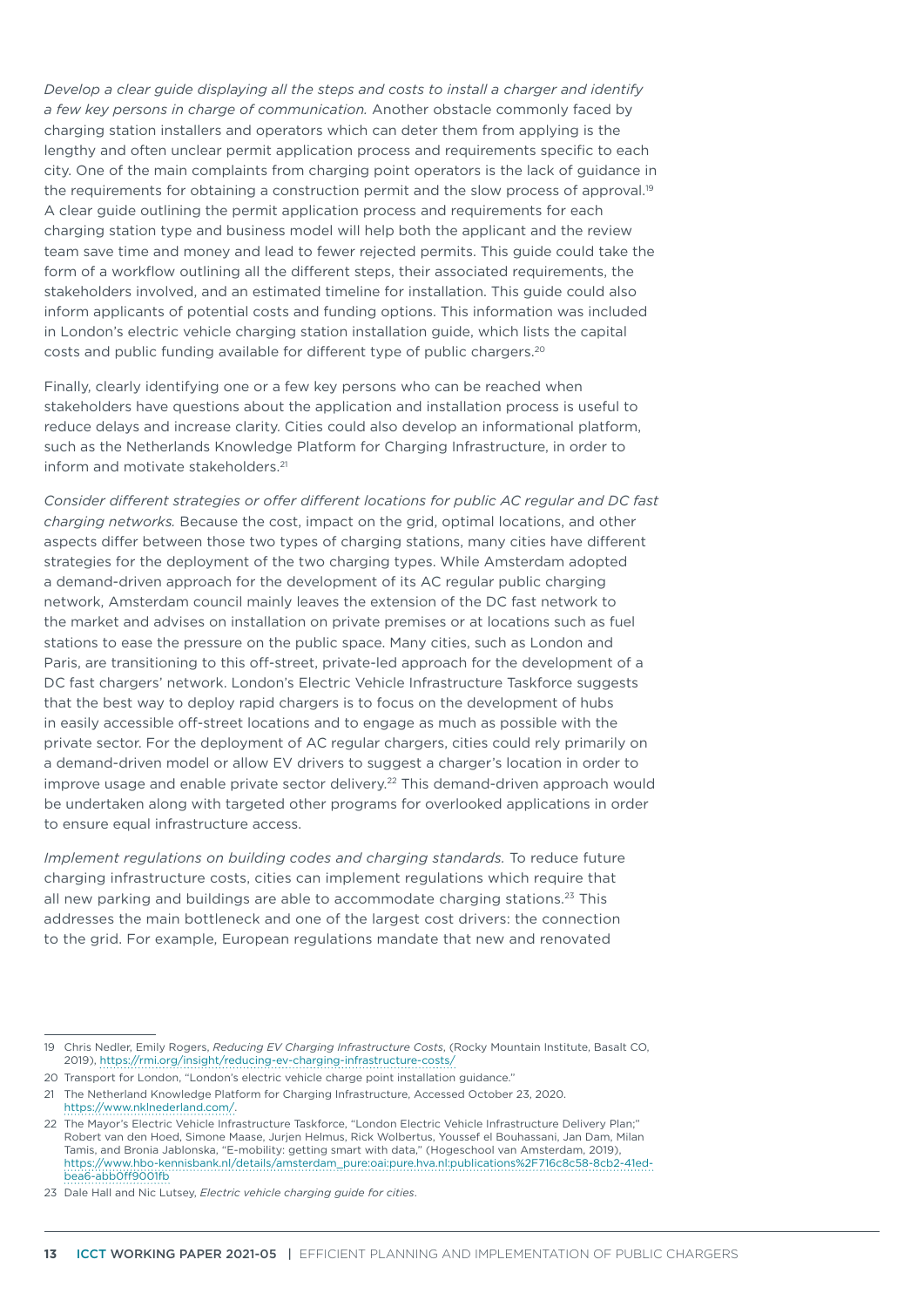*Develop a clear guide displaying all the steps and costs to install a charger and identify a few key persons in charge of communication.* Another obstacle commonly faced by charging station installers and operators which can deter them from applying is the lengthy and often unclear permit application process and requirements specific to each city. One of the main complaints from charging point operators is the lack of guidance in the requirements for obtaining a construction permit and the slow process of approval.<sup>19</sup> A clear guide outlining the permit application process and requirements for each charging station type and business model will help both the applicant and the review team save time and money and lead to fewer rejected permits. This guide could take the form of a workflow outlining all the different steps, their associated requirements, the stakeholders involved, and an estimated timeline for installation. This guide could also inform applicants of potential costs and funding options. This information was included in London's electric vehicle charging station installation guide, which lists the capital costs and public funding available for different type of public chargers.20

Finally, clearly identifying one or a few key persons who can be reached when stakeholders have questions about the application and installation process is useful to reduce delays and increase clarity. Cities could also develop an informational platform, such as the Netherlands Knowledge Platform for Charging Infrastructure, in order to inform and motivate stakeholders.<sup>21</sup>

*Consider different strategies or offer different locations for public AC regular and DC fast charging networks.* Because the cost, impact on the grid, optimal locations, and other aspects differ between those two types of charging stations, many cities have different strategies for the deployment of the two charging types. While Amsterdam adopted a demand-driven approach for the development of its AC regular public charging network, Amsterdam council mainly leaves the extension of the DC fast network to the market and advises on installation on private premises or at locations such as fuel stations to ease the pressure on the public space. Many cities, such as London and Paris, are transitioning to this off-street, private-led approach for the development of a DC fast chargers' network. London's Electric Vehicle Infrastructure Taskforce suggests that the best way to deploy rapid chargers is to focus on the development of hubs in easily accessible off-street locations and to engage as much as possible with the private sector. For the deployment of AC regular chargers, cities could rely primarily on a demand-driven model or allow EV drivers to suggest a charger's location in order to improve usage and enable private sector delivery.<sup>22</sup> This demand-driven approach would be undertaken along with targeted other programs for overlooked applications in order to ensure equal infrastructure access.

*Implement regulations on building codes and charging standards.* To reduce future charging infrastructure costs, cities can implement regulations which require that all new parking and buildings are able to accommodate charging stations.23 This addresses the main bottleneck and one of the largest cost drivers: the connection to the grid. For example, European regulations mandate that new and renovated

- 20 Transport for London, "London's electric vehicle charge point installation guidance."
- 21 The Netherland Knowledge Platform for Charging Infrastructure, Accessed October 23, 2020. <https://www.nklnederland.com/>.
- 22 The Mayor's Electric Vehicle Infrastructure Taskforce, "London Electric Vehicle Infrastructure Delivery Plan;" Robert van den Hoed, Simone Maase, Jurjen Helmus, Rick Wolbertus, Youssef el Bouhassani, Jan Dam, Milan Tamis, and Bronia Jablonska, "E-mobility: getting smart with data," (Hogeschool van Amsterdam, 2019), [https://www.hbo-kennisbank.nl/details/amsterdam\\_pure:oai:pure.hva.nl:publications%2F716c8c58-8cb2-41ed](https://www.hbo-kennisbank.nl/details/amsterdam_pure:oai:pure.hva.nl:publications%2F716c8c58-8cb2-41ed-bea6-abb0ff9001fb)[bea6-abb0ff9001fb](https://www.hbo-kennisbank.nl/details/amsterdam_pure:oai:pure.hva.nl:publications%2F716c8c58-8cb2-41ed-bea6-abb0ff9001fb)
- 23 Dale Hall and Nic Lutsey, *Electric vehicle charging guide for cities*.

<sup>19</sup> Chris Nedler, Emily Rogers, *Reducing EV Charging Infrastructure Costs*, (Rocky Mountain Institute, Basalt CO, 2019),<https://rmi.org/insight/reducing-ev-charging-infrastructure-costs/>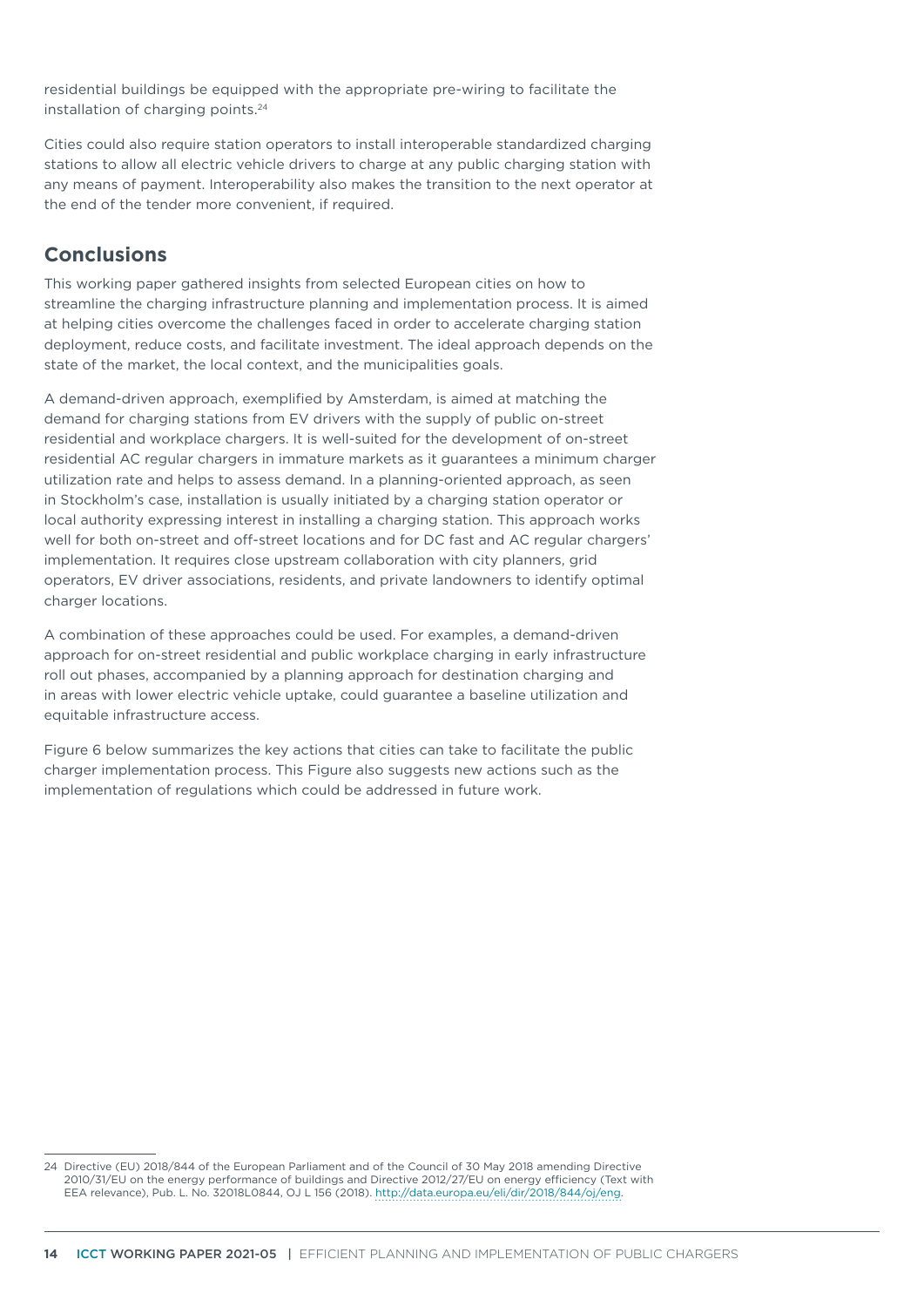residential buildings be equipped with the appropriate pre-wiring to facilitate the installation of charging points.<sup>24</sup>

Cities could also require station operators to install interoperable standardized charging stations to allow all electric vehicle drivers to charge at any public charging station with any means of payment. Interoperability also makes the transition to the next operator at the end of the tender more convenient, if required.

# **Conclusions**

This working paper gathered insights from selected European cities on how to streamline the charging infrastructure planning and implementation process. It is aimed at helping cities overcome the challenges faced in order to accelerate charging station deployment, reduce costs, and facilitate investment. The ideal approach depends on the state of the market, the local context, and the municipalities goals.

A demand-driven approach, exemplified by Amsterdam, is aimed at matching the demand for charging stations from EV drivers with the supply of public on-street residential and workplace chargers. It is well-suited for the development of on-street residential AC regular chargers in immature markets as it guarantees a minimum charger utilization rate and helps to assess demand. In a planning-oriented approach, as seen in Stockholm's case, installation is usually initiated by a charging station operator or local authority expressing interest in installing a charging station. This approach works well for both on-street and off-street locations and for DC fast and AC regular chargers' implementation. It requires close upstream collaboration with city planners, grid operators, EV driver associations, residents, and private landowners to identify optimal charger locations.

A combination of these approaches could be used. For examples, a demand-driven approach for on-street residential and public workplace charging in early infrastructure roll out phases, accompanied by a planning approach for destination charging and in areas with lower electric vehicle uptake, could guarantee a baseline utilization and equitable infrastructure access.

[Figure 6](#page-14-0) below summarizes the key actions that cities can take to facilitate the public charger implementation process. This Figure also suggests new actions such as the implementation of regulations which could be addressed in future work.

<sup>24</sup> Directive (EU) 2018/844 of the European Parliament and of the Council of 30 May 2018 amending Directive 2010/31/EU on the energy performance of buildings and Directive 2012/27/EU on energy efficiency (Text with EEA relevance), Pub. L. No. 32018L0844, OJ L 156 (2018). <http://data.europa.eu/eli/dir/2018/844/oj/eng>.